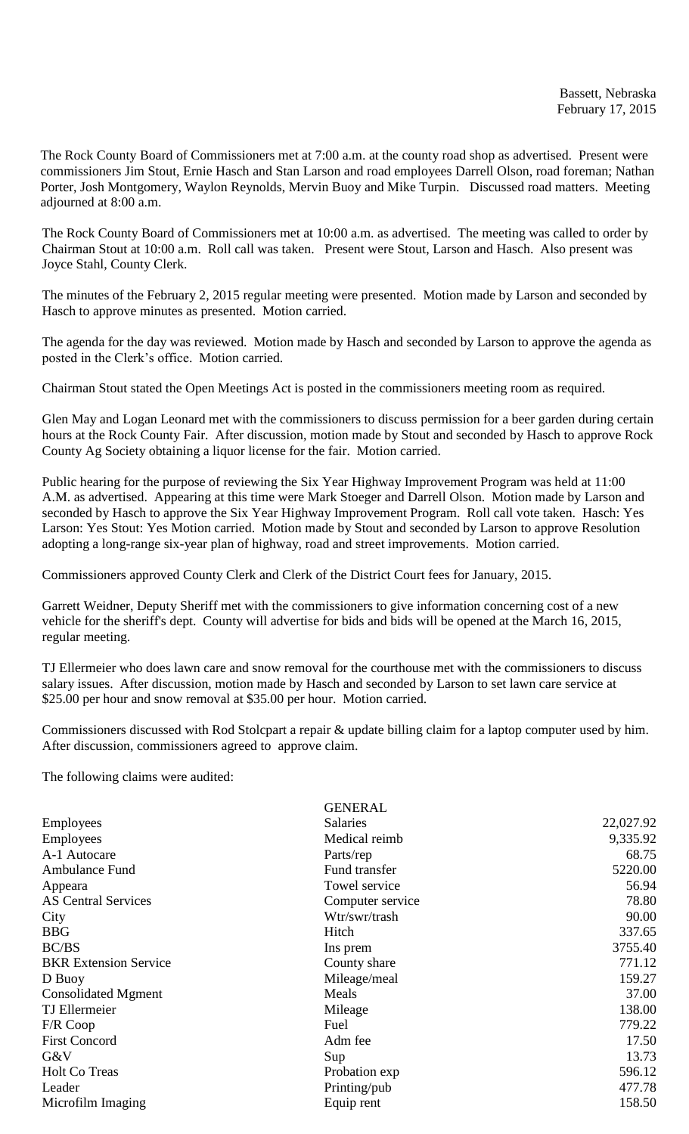The Rock County Board of Commissioners met at 7:00 a.m. at the county road shop as advertised. Present were commissioners Jim Stout, Ernie Hasch and Stan Larson and road employees Darrell Olson, road foreman; Nathan Porter, Josh Montgomery, Waylon Reynolds, Mervin Buoy and Mike Turpin. Discussed road matters. Meeting adjourned at 8:00 a.m.

The Rock County Board of Commissioners met at 10:00 a.m. as advertised. The meeting was called to order by Chairman Stout at 10:00 a.m. Roll call was taken. Present were Stout, Larson and Hasch. Also present was Joyce Stahl, County Clerk.

The minutes of the February 2, 2015 regular meeting were presented. Motion made by Larson and seconded by Hasch to approve minutes as presented. Motion carried.

The agenda for the day was reviewed. Motion made by Hasch and seconded by Larson to approve the agenda as posted in the Clerk's office. Motion carried.

Chairman Stout stated the Open Meetings Act is posted in the commissioners meeting room as required.

Glen May and Logan Leonard met with the commissioners to discuss permission for a beer garden during certain hours at the Rock County Fair. After discussion, motion made by Stout and seconded by Hasch to approve Rock County Ag Society obtaining a liquor license for the fair. Motion carried.

Public hearing for the purpose of reviewing the Six Year Highway Improvement Program was held at 11:00 A.M. as advertised. Appearing at this time were Mark Stoeger and Darrell Olson. Motion made by Larson and seconded by Hasch to approve the Six Year Highway Improvement Program. Roll call vote taken. Hasch: Yes Larson: Yes Stout: Yes Motion carried. Motion made by Stout and seconded by Larson to approve Resolution adopting a long-range six-year plan of highway, road and street improvements. Motion carried.

Commissioners approved County Clerk and Clerk of the District Court fees for January, 2015.

Garrett Weidner, Deputy Sheriff met with the commissioners to give information concerning cost of a new vehicle for the sheriff's dept. County will advertise for bids and bids will be opened at the March 16, 2015, regular meeting.

TJ Ellermeier who does lawn care and snow removal for the courthouse met with the commissioners to discuss salary issues. After discussion, motion made by Hasch and seconded by Larson to set lawn care service at \$25.00 per hour and snow removal at \$35.00 per hour. Motion carried.

Commissioners discussed with Rod Stolcpart a repair & update billing claim for a laptop computer used by him. After discussion, commissioners agreed to approve claim.

The following claims were audited:

|                              | <b>GENERAL</b>   |           |
|------------------------------|------------------|-----------|
| Employees                    | <b>Salaries</b>  | 22,027.92 |
| Employees                    | Medical reimb    | 9,335.92  |
| A-1 Autocare                 | Parts/rep        | 68.75     |
| Ambulance Fund               | Fund transfer    | 5220.00   |
| Appeara                      | Towel service    | 56.94     |
| <b>AS Central Services</b>   | Computer service | 78.80     |
| City                         | Wtr/swr/trash    | 90.00     |
| <b>BBG</b>                   | Hitch            | 337.65    |
| BC/BS                        | Ins prem         | 3755.40   |
| <b>BKR</b> Extension Service | County share     | 771.12    |
| D Buoy                       | Mileage/meal     | 159.27    |
| <b>Consolidated Mgment</b>   | Meals            | 37.00     |
| TJ Ellermeier                | Mileage          | 138.00    |
| $F/R$ Coop                   | Fuel             | 779.22    |
| <b>First Concord</b>         | Adm fee          | 17.50     |
| G&V                          | Sup              | 13.73     |
| <b>Holt Co Treas</b>         | Probation exp    | 596.12    |
| Leader                       | Printing/pub     | 477.78    |
| Microfilm Imaging            | Equip rent       | 158.50    |
|                              |                  |           |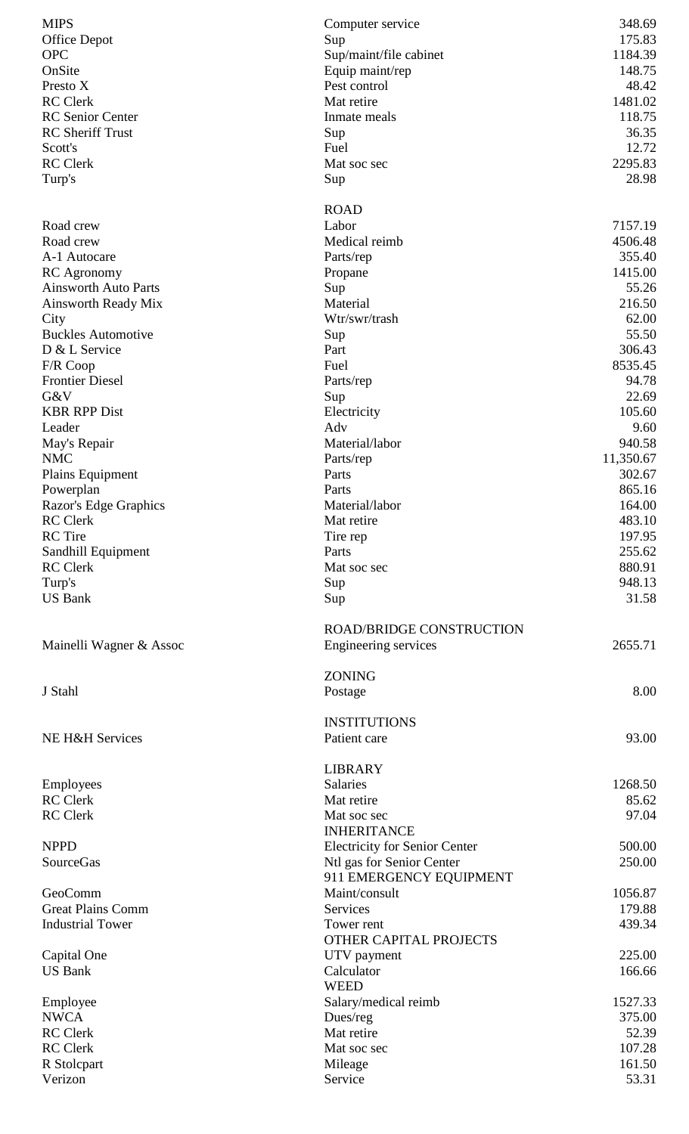| <b>MIPS</b><br><b>Office Depot</b><br><b>OPC</b> | Computer service<br>Sup<br>Sup/maint/file cabinet | 348.69<br>175.83<br>1184.39 |
|--------------------------------------------------|---------------------------------------------------|-----------------------------|
| OnSite                                           | Equip maint/rep                                   | 148.75                      |
| Presto X                                         | Pest control                                      | 48.42                       |
| <b>RC</b> Clerk                                  | Mat retire                                        | 1481.02                     |
| <b>RC</b> Senior Center                          | Inmate meals                                      | 118.75                      |
| <b>RC</b> Sheriff Trust                          | Sup                                               | 36.35                       |
| Scott's                                          | Fuel                                              | 12.72                       |
| <b>RC</b> Clerk                                  | Mat soc sec                                       | 2295.83                     |
| Turp's                                           | Sup                                               | 28.98                       |
|                                                  |                                                   |                             |
|                                                  | <b>ROAD</b>                                       |                             |
| Road crew                                        | Labor                                             | 7157.19                     |
| Road crew                                        | Medical reimb                                     | 4506.48                     |
| A-1 Autocare                                     | Parts/rep                                         | 355.40                      |
| <b>RC</b> Agronomy                               | Propane                                           | 1415.00                     |
| <b>Ainsworth Auto Parts</b>                      | Sup                                               | 55.26                       |
| Ainsworth Ready Mix                              | Material                                          | 216.50                      |
| City                                             | Wtr/swr/trash                                     | 62.00                       |
| <b>Buckles Automotive</b>                        | Sup                                               | 55.50                       |
| D & L Service                                    | Part                                              | 306.43                      |
| F/R Coop                                         | Fuel                                              | 8535.45                     |
| <b>Frontier Diesel</b>                           | Parts/rep                                         | 94.78                       |
| G&V                                              |                                                   | 22.69                       |
| <b>KBR RPP Dist</b>                              | Sup<br>Electricity                                | 105.60                      |
|                                                  | Adv                                               | 9.60                        |
| Leader                                           |                                                   |                             |
| May's Repair<br><b>NMC</b>                       | Material/labor                                    | 940.58                      |
|                                                  | Parts/rep                                         | 11,350.67                   |
| Plains Equipment                                 | Parts                                             | 302.67                      |
| Powerplan                                        | Parts                                             | 865.16                      |
| Razor's Edge Graphics                            | Material/labor                                    | 164.00                      |
| <b>RC</b> Clerk                                  | Mat retire                                        | 483.10                      |
| <b>RC</b> Tire                                   | Tire rep                                          | 197.95                      |
| Sandhill Equipment                               | Parts                                             | 255.62                      |
| <b>RC</b> Clerk                                  | Mat soc sec                                       | 880.91                      |
| Turp's                                           | Sup                                               | 948.13                      |
| <b>US Bank</b>                                   | Sup                                               | 31.58                       |
|                                                  |                                                   |                             |
|                                                  | <b>ROAD/BRIDGE CONSTRUCTION</b>                   |                             |
| Mainelli Wagner & Assoc                          | Engineering services                              | 2655.71                     |
|                                                  |                                                   |                             |
|                                                  | <b>ZONING</b>                                     |                             |
| J Stahl                                          | Postage                                           | 8.00                        |
|                                                  |                                                   |                             |
|                                                  | <b>INSTITUTIONS</b>                               |                             |
| NE H&H Services                                  | Patient care                                      | 93.00                       |
|                                                  |                                                   |                             |
|                                                  | <b>LIBRARY</b>                                    |                             |
| Employees                                        | <b>Salaries</b>                                   | 1268.50                     |
| <b>RC</b> Clerk                                  | Mat retire                                        | 85.62                       |
| <b>RC</b> Clerk                                  | Mat soc sec                                       | 97.04                       |
|                                                  | <b>INHERITANCE</b>                                |                             |
| <b>NPPD</b>                                      | <b>Electricity for Senior Center</b>              | 500.00                      |
| SourceGas                                        | Ntl gas for Senior Center                         | 250.00                      |
|                                                  | 911 EMERGENCY EQUIPMENT                           |                             |
| GeoComm                                          | Maint/consult                                     | 1056.87                     |
| <b>Great Plains Comm</b>                         | <b>Services</b>                                   | 179.88                      |
| <b>Industrial Tower</b>                          | Tower rent                                        | 439.34                      |
|                                                  | OTHER CAPITAL PROJECTS                            |                             |
| Capital One                                      | UTV payment                                       | 225.00                      |
| <b>US Bank</b>                                   | Calculator                                        | 166.66                      |
|                                                  | <b>WEED</b>                                       |                             |
| Employee                                         | Salary/medical reimb                              | 1527.33                     |
| <b>NWCA</b>                                      | Dues/reg                                          | 375.00                      |
| <b>RC</b> Clerk                                  | Mat retire                                        | 52.39                       |
| <b>RC</b> Clerk                                  | Mat soc sec                                       | 107.28                      |
| R Stolcpart                                      | Mileage                                           | 161.50                      |
| Verizon                                          | Service                                           | 53.31                       |